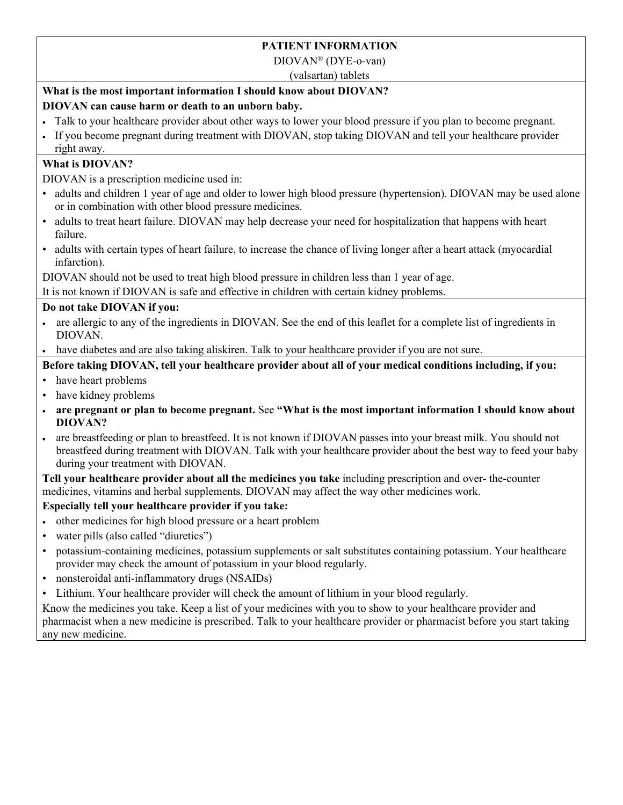# **PATIENT INFORMATION**

DIOVAN® (DYE-o-van)

(valsartan) tablets

# **What is the most important information I should know about DIOVAN?**

# **DIOVAN can cause harm or death to an unborn baby.**

- Talk to your healthcare provider about other ways to lower your blood pressure if you plan to become pregnant.
- If you become pregnant during treatment with DIOVAN, stop taking DIOVAN and tell your healthcare provider right away.

### **What is DIOVAN?**

DIOVAN is a prescription medicine used in:

- adults and children 1 year of age and older to lower high blood pressure (hypertension). DIOVAN may be used alone or in combination with other blood pressure medicines.
- adults to treat heart failure. DIOVAN may help decrease your need for hospitalization that happens with heart failure.
- adults with certain types of heart failure, to increase the chance of living longer after a heart attack (myocardial infarction).

DIOVAN should not be used to treat high blood pressure in children less than 1 year of age.

It is not known if DIOVAN is safe and effective in children with certain kidney problems.

### **Do not take DIOVAN if you:**

- are allergic to any of the ingredients in DIOVAN. See the end of this leaflet for a complete list of ingredients in DIOVAN.
- have diabetes and are also taking aliskiren. Talk to your healthcare provider if you are not sure.

### **Before taking DIOVAN, tell your healthcare provider about all of your medical conditions including, if you:**

- have heart problems
- have kidney problems
- **are pregnant or plan to become pregnant.** See **"What is the most important information I should know about DIOVAN?**
- are breastfeeding or plan to breastfeed. It is not known if DIOVAN passes into your breast milk. You should not breastfeed during treatment with DIOVAN. Talk with your healthcare provider about the best way to feed your baby during your treatment with DIOVAN.

**Tell your healthcare provider about all the medicines you take** including prescription and over- the-counter medicines, vitamins and herbal supplements. DIOVAN may affect the way other medicines work.

# **Especially tell your healthcare provider if you take:**

- other medicines for high blood pressure or a heart problem
- water pills (also called "diuretics")
- potassium-containing medicines, potassium supplements or salt substitutes containing potassium. Your healthcare provider may check the amount of potassium in your blood regularly.
- nonsteroidal anti-inflammatory drugs (NSAIDs)
- Lithium. Your healthcare provider will check the amount of lithium in your blood regularly.

Know the medicines you take. Keep a list of your medicines with you to show to your healthcare provider and pharmacist when a new medicine is prescribed. Talk to your healthcare provider or pharmacist before you start taking any new medicine.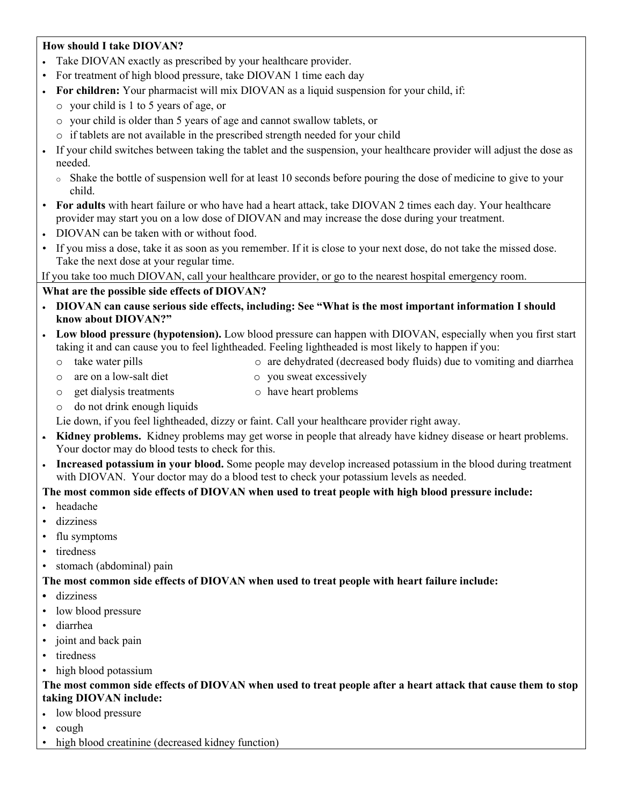### **How should I take DIOVAN?**

- Take DIOVAN exactly as prescribed by your healthcare provider.
- For treatment of high blood pressure, take DIOVAN 1 time each day
- **For children:** Your pharmacist will mix DIOVAN as a liquid suspension for your child, if:
	- o your child is 1 to 5 years of age, or
	- o your child is older than 5 years of age and cannot swallow tablets, or
	- o if tablets are not available in the prescribed strength needed for your child
- If your child switches between taking the tablet and the suspension, your healthcare provider will adjust the dose as needed.
	- o Shake the bottle of suspension well for at least 10 seconds before pouring the dose of medicine to give to your child.
- **For adults** with heart failure or who have had a heart attack, take DIOVAN 2 times each day. Your healthcare provider may start you on a low dose of DIOVAN and may increase the dose during your treatment.
- DIOVAN can be taken with or without food.
- If you miss a dose, take it as soon as you remember. If it is close to your next dose, do not take the missed dose. Take the next dose at your regular time.

If you take too much DIOVAN, call your healthcare provider, or go to the nearest hospital emergency room.

#### **What are the possible side effects of DIOVAN?**

- **DIOVAN can cause serious side effects, including: See "What is the most important information I should know about DIOVAN?"**
- **Low blood pressure (hypotension).** Low blood pressure can happen with DIOVAN, especially when you first start taking it and can cause you to feel lightheaded. Feeling lightheaded is most likely to happen if you:
	- o take water pills o are dehydrated (decreased body fluids) due to vomiting and diarrhea
	- o are on a low-salt diet o you sweat excessively
	- o get dialysis treatments o have heart problems
	- o do not drink enough liquids

Lie down, if you feel lightheaded, dizzy or faint. Call your healthcare provider right away.

- **Kidney problems.** Kidney problems may get worse in people that already have kidney disease or heart problems. Your doctor may do blood tests to check for this.
- **Increased potassium in your blood.** Some people may develop increased potassium in the blood during treatment with DIOVAN. Your doctor may do a blood test to check your potassium levels as needed.

#### **The most common side effects of DIOVAN when used to treat people with high blood pressure include:**

- headache
- dizziness
- flu symptoms
- tiredness
- stomach (abdominal) pain

**The most common side effects of DIOVAN when used to treat people with heart failure include:** 

- **•** dizziness
- low blood pressure
- diarrhea
- joint and back pain
- tiredness
- high blood potassium

#### **The most common side effects of DIOVAN when used to treat people after a heart attack that cause them to stop taking DIOVAN include:**

- low blood pressure
- cough
- high blood creatinine (decreased kidney function)